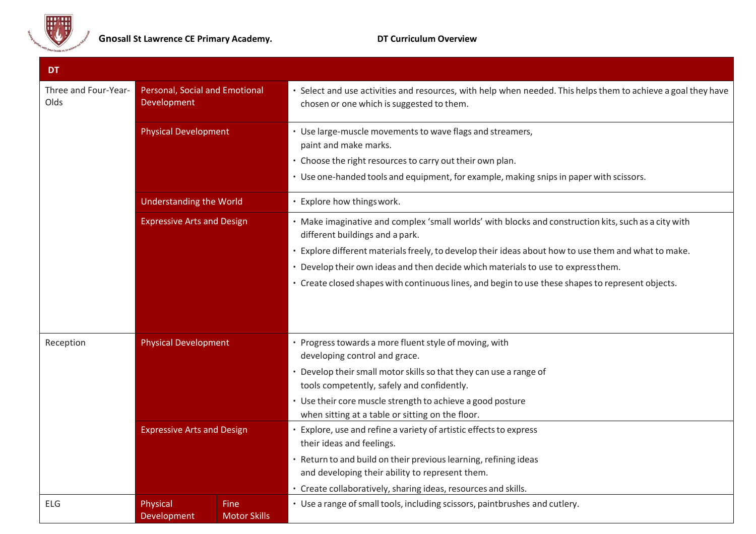

| <b>DT</b>                    |                                               |                             |                                                                                                                                                                                                                                            |
|------------------------------|-----------------------------------------------|-----------------------------|--------------------------------------------------------------------------------------------------------------------------------------------------------------------------------------------------------------------------------------------|
| Three and Four-Year-<br>Olds | Personal, Social and Emotional<br>Development |                             | · Select and use activities and resources, with help when needed. This helps them to achieve a goal they have<br>chosen or one which is suggested to them.                                                                                 |
|                              | <b>Physical Development</b>                   |                             | • Use large-muscle movements to wave flags and streamers,<br>paint and make marks.<br>• Choose the right resources to carry out their own plan.<br>• Use one-handed tools and equipment, for example, making snips in paper with scissors. |
|                              | <b>Understanding the World</b>                |                             | • Explore how things work.                                                                                                                                                                                                                 |
|                              | <b>Expressive Arts and Design</b>             |                             | • Make imaginative and complex 'small worlds' with blocks and construction kits, such as a city with<br>different buildings and a park.                                                                                                    |
|                              |                                               |                             | · Explore different materials freely, to develop their ideas about how to use them and what to make.                                                                                                                                       |
|                              |                                               |                             | · Develop their own ideas and then decide which materials to use to express them.                                                                                                                                                          |
|                              |                                               |                             | · Create closed shapes with continuous lines, and begin to use these shapes to represent objects.                                                                                                                                          |
| Reception                    | <b>Physical Development</b>                   |                             | • Progress towards a more fluent style of moving, with                                                                                                                                                                                     |
|                              |                                               |                             | developing control and grace.                                                                                                                                                                                                              |
|                              |                                               |                             | • Develop their small motor skills so that they can use a range of<br>tools competently, safely and confidently.                                                                                                                           |
|                              |                                               |                             | • Use their core muscle strength to achieve a good posture                                                                                                                                                                                 |
|                              |                                               |                             | when sitting at a table or sitting on the floor.                                                                                                                                                                                           |
|                              | <b>Expressive Arts and Design</b>             |                             | • Explore, use and refine a variety of artistic effects to express<br>their ideas and feelings.                                                                                                                                            |
|                              |                                               |                             | · Return to and build on their previous learning, refining ideas                                                                                                                                                                           |
|                              |                                               |                             | and developing their ability to represent them.                                                                                                                                                                                            |
|                              |                                               |                             | • Create collaboratively, sharing ideas, resources and skills.                                                                                                                                                                             |
| <b>ELG</b>                   | Physical<br>Development                       | Fine<br><b>Motor Skills</b> | • Use a range of small tools, including scissors, paintbrushes and cutlery.                                                                                                                                                                |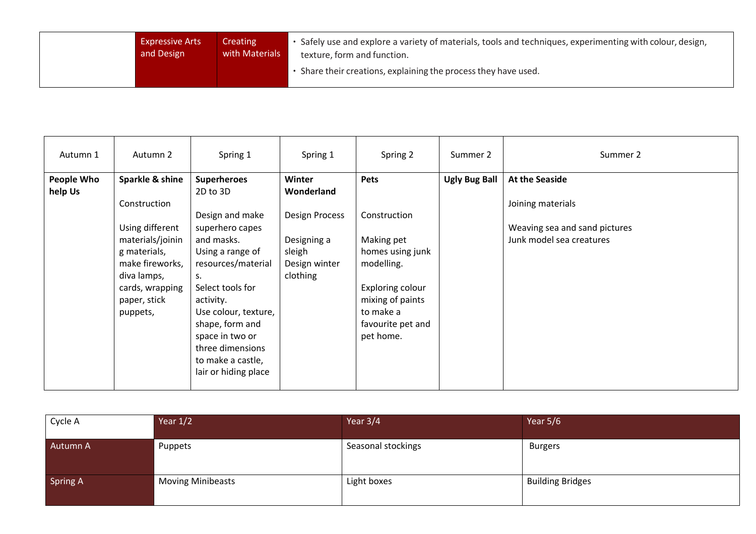| <b>Expressive Arts</b> | Creating       | . Safely use and explore a variety of materials, tools and techniques, experimenting with colour, design, |
|------------------------|----------------|-----------------------------------------------------------------------------------------------------------|
| and Design             | with Materials | texture, form and function.                                                                               |
|                        |                |                                                                                                           |

| Autumn 1   | Autumn 2                                                                                                                                             | Spring 1                                                                                                                                                                                                                                                                     | Spring 1                                                                           | Spring 2                                                                                                                                            | Summer 2             | Summer 2                                                                       |
|------------|------------------------------------------------------------------------------------------------------------------------------------------------------|------------------------------------------------------------------------------------------------------------------------------------------------------------------------------------------------------------------------------------------------------------------------------|------------------------------------------------------------------------------------|-----------------------------------------------------------------------------------------------------------------------------------------------------|----------------------|--------------------------------------------------------------------------------|
| People Who | Sparkle & shine                                                                                                                                      | <b>Superheroes</b>                                                                                                                                                                                                                                                           | Winter                                                                             | <b>Pets</b>                                                                                                                                         | <b>Ugly Bug Ball</b> | <b>At the Seaside</b>                                                          |
| help Us    | Construction<br>Using different<br>materials/joinin<br>g materials,<br>make fireworks,<br>diva lamps,<br>cards, wrapping<br>paper, stick<br>puppets, | 2D to 3D<br>Design and make<br>superhero capes<br>and masks.<br>Using a range of<br>resources/material<br>s.<br>Select tools for<br>activity.<br>Use colour, texture,<br>shape, form and<br>space in two or<br>three dimensions<br>to make a castle,<br>lair or hiding place | Wonderland<br>Design Process<br>Designing a<br>sleigh<br>Design winter<br>clothing | Construction<br>Making pet<br>homes using junk<br>modelling.<br>Exploring colour<br>mixing of paints<br>to make a<br>favourite pet and<br>pet home. |                      | Joining materials<br>Weaving sea and sand pictures<br>Junk model sea creatures |

| Cycle A         | Year $1/2$               | Year $3/4$         | Year $5/6$              |
|-----------------|--------------------------|--------------------|-------------------------|
| Autumn A        | Puppets                  | Seasonal stockings | Burgers                 |
| <b>Spring A</b> | <b>Moving Minibeasts</b> | Light boxes        | <b>Building Bridges</b> |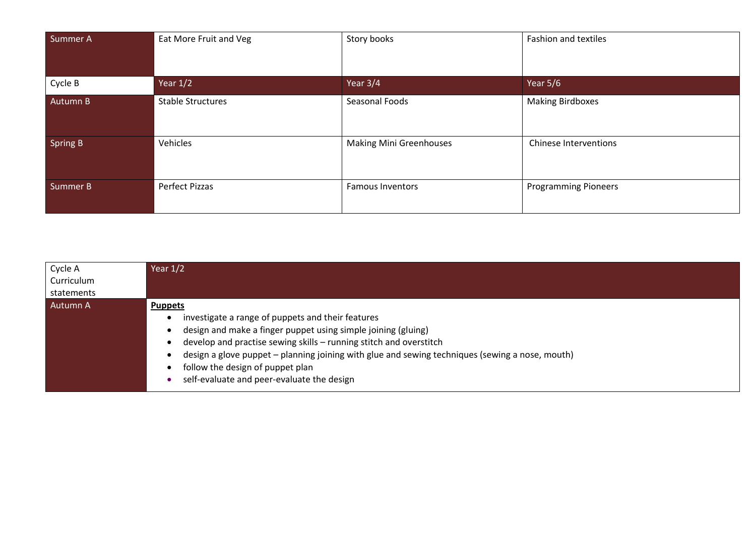| Summer A | Eat More Fruit and Veg   | Story books                    | Fashion and textiles         |
|----------|--------------------------|--------------------------------|------------------------------|
| Cycle B  | Year $1/2$               | Year $3/4$                     | Year 5/6                     |
| Autumn B | <b>Stable Structures</b> | Seasonal Foods                 | <b>Making Birdboxes</b>      |
| Spring B | Vehicles                 | <b>Making Mini Greenhouses</b> | <b>Chinese Interventions</b> |
| Summer B | Perfect Pizzas           | <b>Famous Inventors</b>        | <b>Programming Pioneers</b>  |

| Cycle A    | Year $1/2$                                                                                                                                                                                                                                                                                                                                        |
|------------|---------------------------------------------------------------------------------------------------------------------------------------------------------------------------------------------------------------------------------------------------------------------------------------------------------------------------------------------------|
| Curriculum |                                                                                                                                                                                                                                                                                                                                                   |
| statements |                                                                                                                                                                                                                                                                                                                                                   |
| Autumn A   | <b>Puppets</b><br>investigate a range of puppets and their features<br>design and make a finger puppet using simple joining (gluing)<br>develop and practise sewing skills - running stitch and overstitch<br>design a glove puppet - planning joining with glue and sewing techniques (sewing a nose, mouth)<br>follow the design of puppet plan |
|            | self-evaluate and peer-evaluate the design                                                                                                                                                                                                                                                                                                        |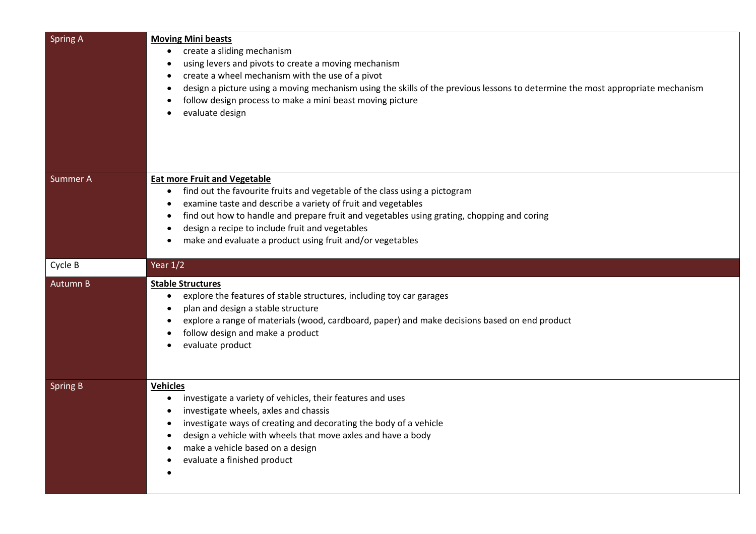| <b>Spring A</b> | <b>Moving Mini beasts</b><br>create a sliding mechanism<br>using levers and pivots to create a moving mechanism<br>create a wheel mechanism with the use of a pivot<br>design a picture using a moving mechanism using the skills of the previous lessons to determine the most appropriate mechanism<br>follow design process to make a mini beast moving picture<br>evaluate design           |
|-----------------|-------------------------------------------------------------------------------------------------------------------------------------------------------------------------------------------------------------------------------------------------------------------------------------------------------------------------------------------------------------------------------------------------|
| Summer A        | <b>Eat more Fruit and Vegetable</b><br>find out the favourite fruits and vegetable of the class using a pictogram<br>examine taste and describe a variety of fruit and vegetables<br>find out how to handle and prepare fruit and vegetables using grating, chopping and coring<br>design a recipe to include fruit and vegetables<br>make and evaluate a product using fruit and/or vegetables |
| Cycle B         | Year $1/2$                                                                                                                                                                                                                                                                                                                                                                                      |
| Autumn B        | <b>Stable Structures</b><br>explore the features of stable structures, including toy car garages<br>plan and design a stable structure<br>explore a range of materials (wood, cardboard, paper) and make decisions based on end product<br>follow design and make a product<br>evaluate product                                                                                                 |
| <b>Spring B</b> | <b>Vehicles</b><br>investigate a variety of vehicles, their features and uses<br>$\bullet$<br>investigate wheels, axles and chassis<br>٠<br>investigate ways of creating and decorating the body of a vehicle<br>design a vehicle with wheels that move axles and have a body<br>$\bullet$<br>make a vehicle based on a design<br>evaluate a finished product                                   |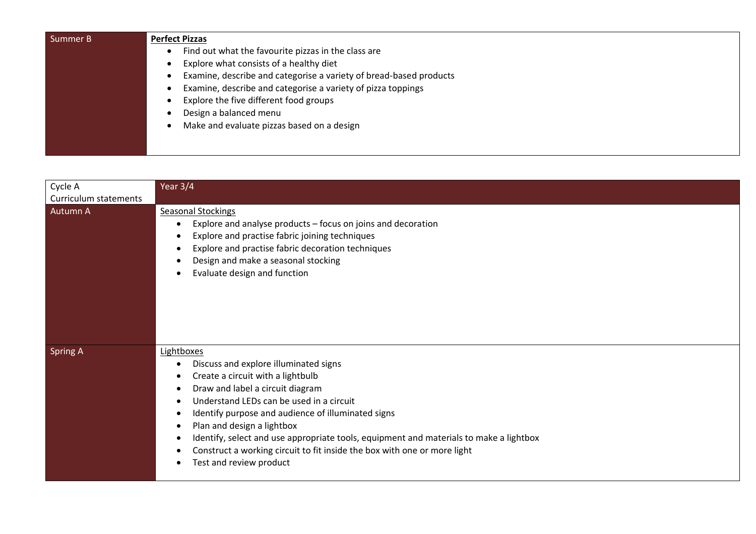| Summer B | <b>Perfect Pizzas</b>                                              |  |  |
|----------|--------------------------------------------------------------------|--|--|
|          | Find out what the favourite pizzas in the class are                |  |  |
|          | Explore what consists of a healthy diet                            |  |  |
|          | Examine, describe and categorise a variety of bread-based products |  |  |
|          | Examine, describe and categorise a variety of pizza toppings       |  |  |
|          | Explore the five different food groups                             |  |  |
|          | Design a balanced menu                                             |  |  |
|          | Make and evaluate pizzas based on a design                         |  |  |
|          |                                                                    |  |  |
|          |                                                                    |  |  |

| Cycle A               | Year 3/4                                                                                                                                                                                                                                                                                                                                                                                                                                                      |
|-----------------------|---------------------------------------------------------------------------------------------------------------------------------------------------------------------------------------------------------------------------------------------------------------------------------------------------------------------------------------------------------------------------------------------------------------------------------------------------------------|
| Curriculum statements |                                                                                                                                                                                                                                                                                                                                                                                                                                                               |
| Autumn A              | <b>Seasonal Stockings</b><br>Explore and analyse products – focus on joins and decoration<br>Explore and practise fabric joining techniques<br>Explore and practise fabric decoration techniques<br>Design and make a seasonal stocking<br>Evaluate design and function                                                                                                                                                                                       |
| <b>Spring A</b>       | Lightboxes<br>Discuss and explore illuminated signs<br>Create a circuit with a lightbulb<br>Draw and label a circuit diagram<br>Understand LEDs can be used in a circuit<br>Identify purpose and audience of illuminated signs<br>Plan and design a lightbox<br>Identify, select and use appropriate tools, equipment and materials to make a lightbox<br>Construct a working circuit to fit inside the box with one or more light<br>Test and review product |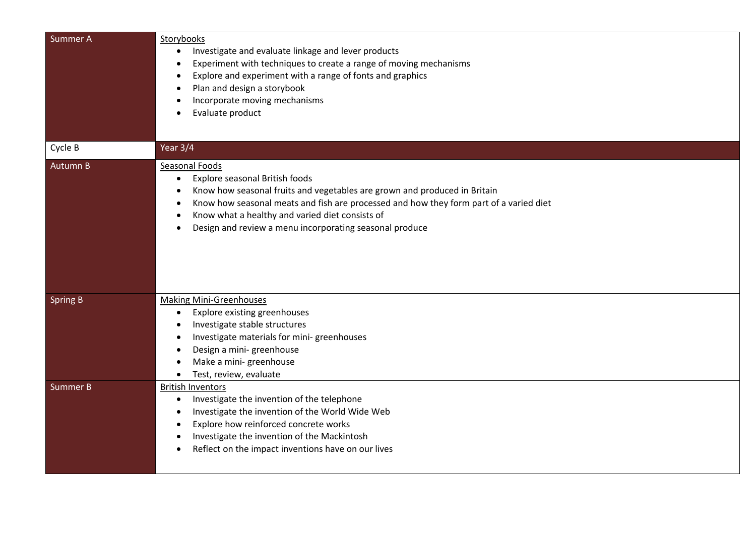| Summer <sub>A</sub> | Storybooks<br>Investigate and evaluate linkage and lever products<br>$\bullet$<br>Experiment with techniques to create a range of moving mechanisms<br>Explore and experiment with a range of fonts and graphics<br>Plan and design a storybook                                                                                                           |
|---------------------|-----------------------------------------------------------------------------------------------------------------------------------------------------------------------------------------------------------------------------------------------------------------------------------------------------------------------------------------------------------|
|                     | Incorporate moving mechanisms<br>Evaluate product                                                                                                                                                                                                                                                                                                         |
| Cycle B             | Year 3/4                                                                                                                                                                                                                                                                                                                                                  |
| Autumn B            | <b>Seasonal Foods</b><br>Explore seasonal British foods<br>$\bullet$<br>Know how seasonal fruits and vegetables are grown and produced in Britain<br>Know how seasonal meats and fish are processed and how they form part of a varied diet<br>Know what a healthy and varied diet consists of<br>Design and review a menu incorporating seasonal produce |
| <b>Spring B</b>     | <b>Making Mini-Greenhouses</b><br>Explore existing greenhouses<br>$\bullet$<br>Investigate stable structures<br>Investigate materials for mini-greenhouses<br>Design a mini-greenhouse<br>Make a mini-greenhouse<br>Test, review, evaluate                                                                                                                |
| <b>Summer B</b>     | <b>British Inventors</b><br>Investigate the invention of the telephone<br>$\bullet$<br>Investigate the invention of the World Wide Web<br>Explore how reinforced concrete works<br>Investigate the invention of the Mackintosh<br>Reflect on the impact inventions have on our lives                                                                      |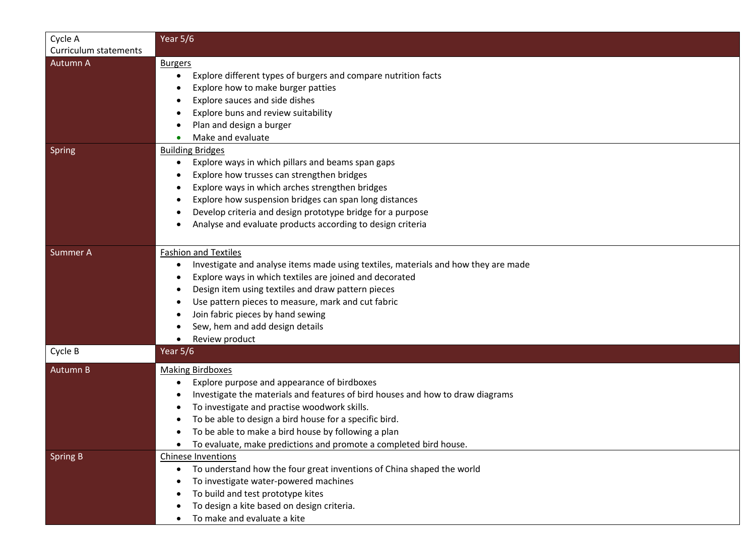| Cycle A               | Year $5/6$                                                                         |
|-----------------------|------------------------------------------------------------------------------------|
| Curriculum statements |                                                                                    |
| Autumn A              | <b>Burgers</b>                                                                     |
|                       | Explore different types of burgers and compare nutrition facts                     |
|                       | Explore how to make burger patties                                                 |
|                       | Explore sauces and side dishes                                                     |
|                       | Explore buns and review suitability                                                |
|                       | Plan and design a burger                                                           |
|                       | Make and evaluate                                                                  |
| <b>Spring</b>         | <b>Building Bridges</b>                                                            |
|                       | Explore ways in which pillars and beams span gaps                                  |
|                       | Explore how trusses can strengthen bridges                                         |
|                       | Explore ways in which arches strengthen bridges                                    |
|                       | Explore how suspension bridges can span long distances                             |
|                       | Develop criteria and design prototype bridge for a purpose                         |
|                       | Analyse and evaluate products according to design criteria                         |
|                       |                                                                                    |
| Summer A              | <b>Fashion and Textiles</b>                                                        |
|                       | Investigate and analyse items made using textiles, materials and how they are made |
|                       | Explore ways in which textiles are joined and decorated                            |
|                       | Design item using textiles and draw pattern pieces                                 |
|                       | Use pattern pieces to measure, mark and cut fabric                                 |
|                       | Join fabric pieces by hand sewing                                                  |
|                       | Sew, hem and add design details                                                    |
|                       | Review product                                                                     |
| Cycle B               | Year $5/6$                                                                         |
| Autumn B              | <b>Making Birdboxes</b>                                                            |
|                       | Explore purpose and appearance of birdboxes                                        |
|                       | Investigate the materials and features of bird houses and how to draw diagrams     |
|                       | To investigate and practise woodwork skills.                                       |
|                       | To be able to design a bird house for a specific bird.                             |
|                       | To be able to make a bird house by following a plan                                |
|                       | To evaluate, make predictions and promote a completed bird house.                  |
| <b>Spring B</b>       | <b>Chinese Inventions</b>                                                          |
|                       | To understand how the four great inventions of China shaped the world              |
|                       | To investigate water-powered machines                                              |
|                       | To build and test prototype kites                                                  |
|                       | To design a kite based on design criteria.                                         |
|                       | To make and evaluate a kite                                                        |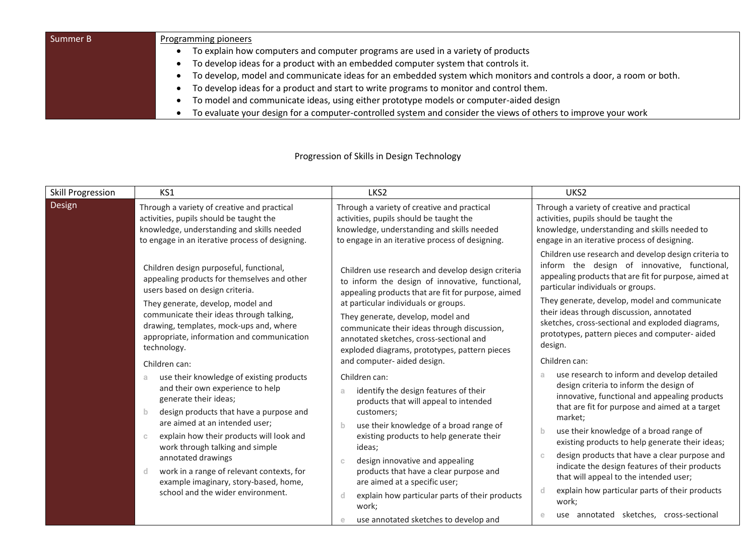| Summer B | Programming pioneers                                                                                               |  |  |
|----------|--------------------------------------------------------------------------------------------------------------------|--|--|
|          | To explain how computers and computer programs are used in a variety of products                                   |  |  |
|          | To develop ideas for a product with an embedded computer system that controls it.                                  |  |  |
|          | To develop, model and communicate ideas for an embedded system which monitors and controls a door, a room or both. |  |  |
|          | To develop ideas for a product and start to write programs to monitor and control them.                            |  |  |
|          | To model and communicate ideas, using either prototype models or computer-aided design                             |  |  |
|          | To evaluate your design for a computer-controlled system and consider the views of others to improve your work     |  |  |

## Progression of Skills in Design Technology

| <b>Skill Progression</b> | KS1                                                                                                                                                                                                                                                                                                                                                                                                                                                                                                                                                                                                                                                                                                                                                                                                 | LKS <sub>2</sub>                                                                                                                                                                                                                                                                                                                                                                                                                                                                                                                                                                                                                                                                                                                                                                                                                                                     | UKS <sub>2</sub>                                                                                                                                                                                                                                                                                                                                                                                                                                                                                                                                                                                                                                                                                                                                                                                                                                                                                                                                                                                                            |
|--------------------------|-----------------------------------------------------------------------------------------------------------------------------------------------------------------------------------------------------------------------------------------------------------------------------------------------------------------------------------------------------------------------------------------------------------------------------------------------------------------------------------------------------------------------------------------------------------------------------------------------------------------------------------------------------------------------------------------------------------------------------------------------------------------------------------------------------|----------------------------------------------------------------------------------------------------------------------------------------------------------------------------------------------------------------------------------------------------------------------------------------------------------------------------------------------------------------------------------------------------------------------------------------------------------------------------------------------------------------------------------------------------------------------------------------------------------------------------------------------------------------------------------------------------------------------------------------------------------------------------------------------------------------------------------------------------------------------|-----------------------------------------------------------------------------------------------------------------------------------------------------------------------------------------------------------------------------------------------------------------------------------------------------------------------------------------------------------------------------------------------------------------------------------------------------------------------------------------------------------------------------------------------------------------------------------------------------------------------------------------------------------------------------------------------------------------------------------------------------------------------------------------------------------------------------------------------------------------------------------------------------------------------------------------------------------------------------------------------------------------------------|
| Design                   | Through a variety of creative and practical<br>activities, pupils should be taught the<br>knowledge, understanding and skills needed<br>to engage in an iterative process of designing.                                                                                                                                                                                                                                                                                                                                                                                                                                                                                                                                                                                                             | Through a variety of creative and practical<br>activities, pupils should be taught the<br>knowledge, understanding and skills needed<br>to engage in an iterative process of designing.                                                                                                                                                                                                                                                                                                                                                                                                                                                                                                                                                                                                                                                                              | Through a variety of creative and practical<br>activities, pupils should be taught the<br>knowledge, understanding and skills needed to<br>engage in an iterative process of designing.                                                                                                                                                                                                                                                                                                                                                                                                                                                                                                                                                                                                                                                                                                                                                                                                                                     |
|                          | Children design purposeful, functional,<br>appealing products for themselves and other<br>users based on design criteria.<br>They generate, develop, model and<br>communicate their ideas through talking,<br>drawing, templates, mock-ups and, where<br>appropriate, information and communication<br>technology.<br>Children can:<br>use their knowledge of existing products<br>a<br>and their own experience to help<br>generate their ideas;<br>design products that have a purpose and<br>$\mathbf b$<br>are aimed at an intended user;<br>explain how their products will look and<br>$\mathbb{C}$<br>work through talking and simple<br>annotated drawings<br>work in a range of relevant contexts, for<br>-d<br>example imaginary, story-based, home,<br>school and the wider environment. | Children use research and develop design criteria<br>to inform the design of innovative, functional,<br>appealing products that are fit for purpose, aimed<br>at particular individuals or groups.<br>They generate, develop, model and<br>communicate their ideas through discussion,<br>annotated sketches, cross-sectional and<br>exploded diagrams, prototypes, pattern pieces<br>and computer-aided design.<br>Children can:<br>identify the design features of their<br>products that will appeal to intended<br>customers;<br>use their knowledge of a broad range of<br>existing products to help generate their<br>ideas;<br>design innovative and appealing<br>$\mathbb{C}$<br>products that have a clear purpose and<br>are aimed at a specific user;<br>explain how particular parts of their products<br>work;<br>use annotated sketches to develop and | Children use research and develop design criteria to<br>inform the design of innovative, functional,<br>appealing products that are fit for purpose, aimed at<br>particular individuals or groups.<br>They generate, develop, model and communicate<br>their ideas through discussion, annotated<br>sketches, cross-sectional and exploded diagrams,<br>prototypes, pattern pieces and computer-aided<br>design.<br>Children can:<br>use research to inform and develop detailed<br>a.<br>design criteria to inform the design of<br>innovative, functional and appealing products<br>that are fit for purpose and aimed at a target<br>market;<br>use their knowledge of a broad range of<br>b.<br>existing products to help generate their ideas;<br>design products that have a clear purpose and<br>$\mathbb{C}$<br>indicate the design features of their products<br>that will appeal to the intended user;<br>explain how particular parts of their products<br>d<br>work;<br>use annotated sketches, cross-sectional |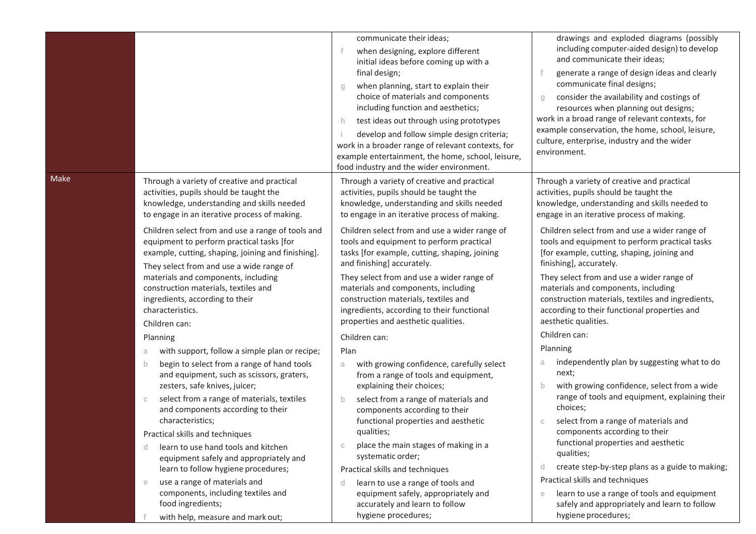|      |                                                                                                                                                                                                                                                                                 | communicate their ideas;<br>when designing, explore different<br>initial ideas before coming up with a<br>final design;<br>when planning, start to explain their<br>q<br>choice of materials and components<br>including function and aesthetics;<br>test ideas out through using prototypes<br>h.<br>develop and follow simple design criteria;<br>work in a broader range of relevant contexts, for<br>example entertainment, the home, school, leisure,<br>food industry and the wider environment. | drawings and exploded diagrams (possibly<br>including computer-aided design) to develop<br>and communicate their ideas;<br>generate a range of design ideas and clearly<br>communicate final designs;<br>consider the availability and costings of<br>q<br>resources when planning out designs;<br>work in a broad range of relevant contexts, for<br>example conservation, the home, school, leisure,<br>culture, enterprise, industry and the wider<br>environment. |
|------|---------------------------------------------------------------------------------------------------------------------------------------------------------------------------------------------------------------------------------------------------------------------------------|--------------------------------------------------------------------------------------------------------------------------------------------------------------------------------------------------------------------------------------------------------------------------------------------------------------------------------------------------------------------------------------------------------------------------------------------------------------------------------------------------------|-----------------------------------------------------------------------------------------------------------------------------------------------------------------------------------------------------------------------------------------------------------------------------------------------------------------------------------------------------------------------------------------------------------------------------------------------------------------------|
| Make | Through a variety of creative and practical<br>activities, pupils should be taught the<br>knowledge, understanding and skills needed<br>to engage in an iterative process of making.                                                                                            | Through a variety of creative and practical<br>activities, pupils should be taught the<br>knowledge, understanding and skills needed<br>to engage in an iterative process of making.                                                                                                                                                                                                                                                                                                                   | Through a variety of creative and practical<br>activities, pupils should be taught the<br>knowledge, understanding and skills needed to<br>engage in an iterative process of making.                                                                                                                                                                                                                                                                                  |
|      | Children select from and use a range of tools and<br>equipment to perform practical tasks [for<br>example, cutting, shaping, joining and finishing].<br>They select from and use a wide range of<br>materials and components, including<br>construction materials, textiles and | Children select from and use a wider range of<br>tools and equipment to perform practical<br>tasks [for example, cutting, shaping, joining<br>and finishing] accurately.<br>They select from and use a wider range of<br>materials and components, including                                                                                                                                                                                                                                           | Children select from and use a wider range of<br>tools and equipment to perform practical tasks<br>[for example, cutting, shaping, joining and<br>finishing], accurately.<br>They select from and use a wider range of<br>materials and components, including                                                                                                                                                                                                         |
|      | ingredients, according to their<br>characteristics.<br>Children can:                                                                                                                                                                                                            | construction materials, textiles and<br>ingredients, according to their functional<br>properties and aesthetic qualities.                                                                                                                                                                                                                                                                                                                                                                              | construction materials, textiles and ingredients,<br>according to their functional properties and<br>aesthetic qualities.                                                                                                                                                                                                                                                                                                                                             |
|      | Planning                                                                                                                                                                                                                                                                        | Children can:                                                                                                                                                                                                                                                                                                                                                                                                                                                                                          | Children can:                                                                                                                                                                                                                                                                                                                                                                                                                                                         |
|      | with support, follow a simple plan or recipe;<br>a                                                                                                                                                                                                                              | Plan                                                                                                                                                                                                                                                                                                                                                                                                                                                                                                   | Planning                                                                                                                                                                                                                                                                                                                                                                                                                                                              |
|      | begin to select from a range of hand tools<br>b<br>and equipment, such as scissors, graters,<br>zesters, safe knives, juicer;                                                                                                                                                   | with growing confidence, carefully select<br>a.<br>from a range of tools and equipment,<br>explaining their choices;                                                                                                                                                                                                                                                                                                                                                                                   | independently plan by suggesting what to do<br>a<br>next;<br>with growing confidence, select from a wide<br>$\mathbf{b}$                                                                                                                                                                                                                                                                                                                                              |
|      | select from a range of materials, textiles<br>$\mathbb{C}$<br>and components according to their<br>characteristics;                                                                                                                                                             | select from a range of materials and<br>$\mathbf{b}$<br>components according to their<br>functional properties and aesthetic                                                                                                                                                                                                                                                                                                                                                                           | range of tools and equipment, explaining their<br>choices;<br>select from a range of materials and<br>$\mathbb{C}$                                                                                                                                                                                                                                                                                                                                                    |
|      | Practical skills and techniques                                                                                                                                                                                                                                                 | qualities;                                                                                                                                                                                                                                                                                                                                                                                                                                                                                             | components according to their                                                                                                                                                                                                                                                                                                                                                                                                                                         |
|      | learn to use hand tools and kitchen<br>d.<br>equipment safely and appropriately and                                                                                                                                                                                             | place the main stages of making in a<br>$\mathbb{C}$<br>systematic order;                                                                                                                                                                                                                                                                                                                                                                                                                              | functional properties and aesthetic<br>qualities;                                                                                                                                                                                                                                                                                                                                                                                                                     |
|      | learn to follow hygiene procedures;                                                                                                                                                                                                                                             | Practical skills and techniques                                                                                                                                                                                                                                                                                                                                                                                                                                                                        | create step-by-step plans as a guide to making;<br><sub>d</sub>                                                                                                                                                                                                                                                                                                                                                                                                       |
|      | use a range of materials and<br>$\epsilon$<br>components, including textiles and<br>food ingredients;                                                                                                                                                                           | learn to use a range of tools and<br>d.<br>equipment safely, appropriately and<br>accurately and learn to follow                                                                                                                                                                                                                                                                                                                                                                                       | Practical skills and techniques<br>learn to use a range of tools and equipment<br>e<br>safely and appropriately and learn to follow                                                                                                                                                                                                                                                                                                                                   |
|      | with help, measure and mark out;                                                                                                                                                                                                                                                | hygiene procedures;                                                                                                                                                                                                                                                                                                                                                                                                                                                                                    | hygiene procedures;                                                                                                                                                                                                                                                                                                                                                                                                                                                   |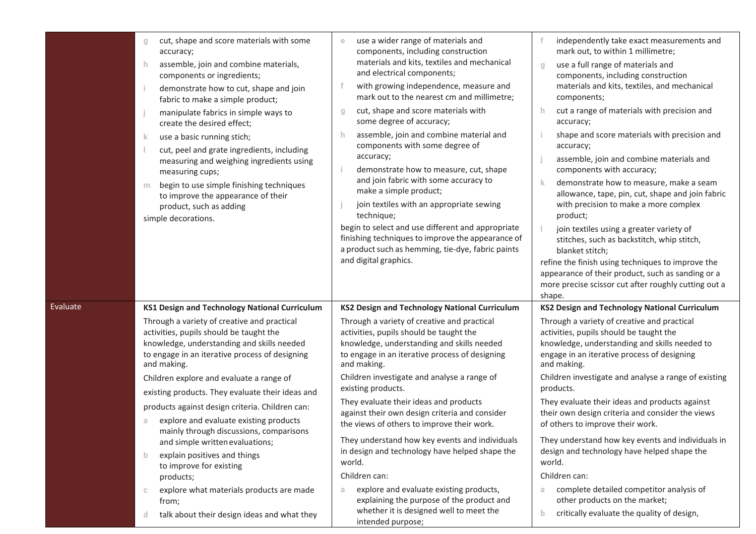|          | cut, shape and score materials with some<br>g<br>accuracy;<br>assemble, join and combine materials,<br>h.<br>components or ingredients;<br>demonstrate how to cut, shape and join<br>Ť.<br>fabric to make a simple product;<br>manipulate fabrics in simple ways to<br>create the desired effect;<br>use a basic running stich;<br>k.<br>cut, peel and grate ingredients, including<br>measuring and weighing ingredients using<br>measuring cups;<br>begin to use simple finishing techniques<br>m<br>to improve the appearance of their<br>product, such as adding<br>simple decorations.                                                                                                                                                                               | use a wider range of materials and<br>components, including construction<br>materials and kits, textiles and mechanical<br>and electrical components;<br>with growing independence, measure and<br>mark out to the nearest cm and millimetre;<br>cut, shape and score materials with<br>g<br>some degree of accuracy;<br>assemble, join and combine material and<br>h<br>components with some degree of<br>accuracy;<br>demonstrate how to measure, cut, shape<br>and join fabric with some accuracy to<br>make a simple product;<br>join textiles with an appropriate sewing<br>technique;<br>begin to select and use different and appropriate<br>finishing techniques to improve the appearance of<br>a product such as hemming, tie-dye, fabric paints<br>and digital graphics. | independently take exact measurements and<br>mark out, to within 1 millimetre;<br>use a full range of materials and<br>$\Box$<br>components, including construction<br>materials and kits, textiles, and mechanical<br>components;<br>cut a range of materials with precision and<br>accuracy;<br>shape and score materials with precision and<br>accuracy;<br>assemble, join and combine materials and<br>components with accuracy;<br>demonstrate how to measure, make a seam<br>allowance, tape, pin, cut, shape and join fabric<br>with precision to make a more complex<br>product;<br>join textiles using a greater variety of<br>stitches, such as backstitch, whip stitch,<br>blanket stitch;<br>refine the finish using techniques to improve the<br>appearance of their product, such as sanding or a<br>more precise scissor cut after roughly cutting out a<br>shape. |
|----------|---------------------------------------------------------------------------------------------------------------------------------------------------------------------------------------------------------------------------------------------------------------------------------------------------------------------------------------------------------------------------------------------------------------------------------------------------------------------------------------------------------------------------------------------------------------------------------------------------------------------------------------------------------------------------------------------------------------------------------------------------------------------------|-------------------------------------------------------------------------------------------------------------------------------------------------------------------------------------------------------------------------------------------------------------------------------------------------------------------------------------------------------------------------------------------------------------------------------------------------------------------------------------------------------------------------------------------------------------------------------------------------------------------------------------------------------------------------------------------------------------------------------------------------------------------------------------|-----------------------------------------------------------------------------------------------------------------------------------------------------------------------------------------------------------------------------------------------------------------------------------------------------------------------------------------------------------------------------------------------------------------------------------------------------------------------------------------------------------------------------------------------------------------------------------------------------------------------------------------------------------------------------------------------------------------------------------------------------------------------------------------------------------------------------------------------------------------------------------|
| Evaluate | <b>KS1 Design and Technology National Curriculum</b><br>Through a variety of creative and practical<br>activities, pupils should be taught the<br>knowledge, understanding and skills needed<br>to engage in an iterative process of designing<br>and making.<br>Children explore and evaluate a range of<br>existing products. They evaluate their ideas and<br>products against design criteria. Children can:<br>explore and evaluate existing products<br>a<br>mainly through discussions, comparisons<br>and simple written evaluations;<br>explain positives and things<br>$\mathbf{b}$<br>to improve for existing<br>products;<br>explore what materials products are made<br>$\mathbb{C}$<br>from;<br>talk about their design ideas and what they<br><sub>d</sub> | <b>KS2 Design and Technology National Curriculum</b><br>Through a variety of creative and practical<br>activities, pupils should be taught the<br>knowledge, understanding and skills needed<br>to engage in an iterative process of designing<br>and making.<br>Children investigate and analyse a range of<br>existing products.<br>They evaluate their ideas and products<br>against their own design criteria and consider<br>the views of others to improve their work.<br>They understand how key events and individuals<br>in design and technology have helped shape the<br>world.<br>Children can:<br>explore and evaluate existing products,<br>a<br>explaining the purpose of the product and<br>whether it is designed well to meet the<br>intended purpose;            | <b>KS2 Design and Technology National Curriculum</b><br>Through a variety of creative and practical<br>activities, pupils should be taught the<br>knowledge, understanding and skills needed to<br>engage in an iterative process of designing<br>and making.<br>Children investigate and analyse a range of existing<br>products.<br>They evaluate their ideas and products against<br>their own design criteria and consider the views<br>of others to improve their work.<br>They understand how key events and individuals in<br>design and technology have helped shape the<br>world.<br>Children can:<br>complete detailed competitor analysis of<br>a<br>other products on the market;<br>critically evaluate the quality of design,<br>$\mathbf b$                                                                                                                        |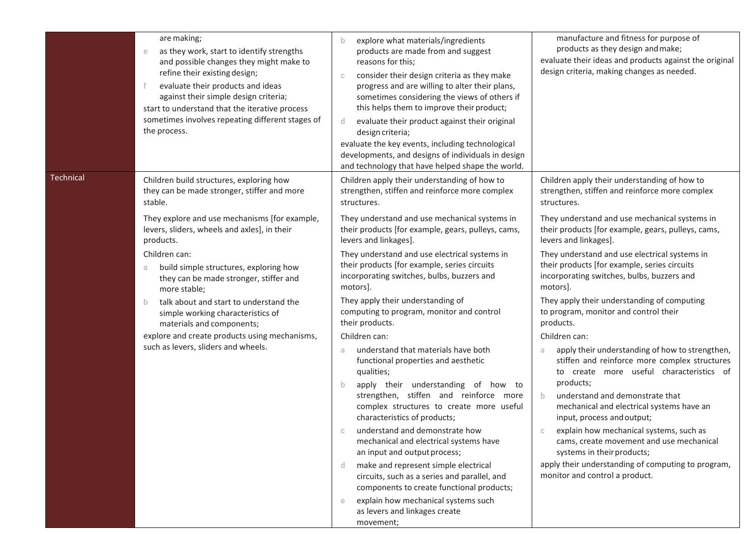|           | are making;<br>as they work, start to identify strengths<br>$\mathop{\mathrm{e}}$<br>and possible changes they might make to<br>refine their existing design;<br>evaluate their products and ideas<br>against their simple design criteria;<br>start to understand that the iterative process<br>sometimes involves repeating different stages of<br>the process. | explore what materials/ingredients<br>$\mathbf b$<br>products are made from and suggest<br>reasons for this;<br>consider their design criteria as they make<br>$\mathbb C$<br>progress and are willing to alter their plans,<br>sometimes considering the views of others if<br>this helps them to improve their product;<br>evaluate their product against their original<br>d<br>design criteria;<br>evaluate the key events, including technological<br>developments, and designs of individuals in design<br>and technology that have helped shape the world. | manufacture and fitness for purpose of<br>products as they design and make;<br>evaluate their ideas and products against the original<br>design criteria, making changes as needed. |
|-----------|-------------------------------------------------------------------------------------------------------------------------------------------------------------------------------------------------------------------------------------------------------------------------------------------------------------------------------------------------------------------|-------------------------------------------------------------------------------------------------------------------------------------------------------------------------------------------------------------------------------------------------------------------------------------------------------------------------------------------------------------------------------------------------------------------------------------------------------------------------------------------------------------------------------------------------------------------|-------------------------------------------------------------------------------------------------------------------------------------------------------------------------------------|
| Technical | Children build structures, exploring how<br>they can be made stronger, stiffer and more<br>stable.                                                                                                                                                                                                                                                                | Children apply their understanding of how to<br>strengthen, stiffen and reinforce more complex<br>structures.                                                                                                                                                                                                                                                                                                                                                                                                                                                     | Children apply their understanding of how to<br>strengthen, stiffen and reinforce more complex<br>structures.                                                                       |
|           | They explore and use mechanisms [for example,<br>levers, sliders, wheels and axles], in their<br>products.                                                                                                                                                                                                                                                        | They understand and use mechanical systems in<br>their products [for example, gears, pulleys, cams,<br>levers and linkages].                                                                                                                                                                                                                                                                                                                                                                                                                                      | They understand and use mechanical systems in<br>their products [for example, gears, pulleys, cams,<br>levers and linkages].                                                        |
|           | Children can:<br>build simple structures, exploring how<br>a<br>they can be made stronger, stiffer and<br>more stable;                                                                                                                                                                                                                                            | They understand and use electrical systems in<br>their products [for example, series circuits<br>incorporating switches, bulbs, buzzers and<br>motors].                                                                                                                                                                                                                                                                                                                                                                                                           | They understand and use electrical systems in<br>their products [for example, series circuits<br>incorporating switches, bulbs, buzzers and<br>motors].                             |
|           | talk about and start to understand the<br>b.<br>simple working characteristics of<br>materials and components;                                                                                                                                                                                                                                                    | They apply their understanding of<br>computing to program, monitor and control<br>their products.                                                                                                                                                                                                                                                                                                                                                                                                                                                                 | They apply their understanding of computing<br>to program, monitor and control their<br>products.                                                                                   |
|           | explore and create products using mechanisms,<br>such as levers, sliders and wheels.                                                                                                                                                                                                                                                                              | Children can:<br>understand that materials have both<br>a                                                                                                                                                                                                                                                                                                                                                                                                                                                                                                         | Children can:<br>apply their understanding of how to strengthen,<br>stiffen and reinforce more complex structures                                                                   |
|           |                                                                                                                                                                                                                                                                                                                                                                   | functional properties and aesthetic<br>qualities;<br>apply their understanding of how to<br>$\mathbf b$<br>strengthen, stiffen and reinforce more<br>complex structures to create more useful<br>characteristics of products;                                                                                                                                                                                                                                                                                                                                     | to create more useful characteristics of<br>products;                                                                                                                               |
|           |                                                                                                                                                                                                                                                                                                                                                                   |                                                                                                                                                                                                                                                                                                                                                                                                                                                                                                                                                                   | understand and demonstrate that<br>b.<br>mechanical and electrical systems have an<br>input, process and output;                                                                    |
|           |                                                                                                                                                                                                                                                                                                                                                                   | understand and demonstrate how<br>mechanical and electrical systems have<br>an input and output process;                                                                                                                                                                                                                                                                                                                                                                                                                                                          | explain how mechanical systems, such as<br>cams, create movement and use mechanical<br>systems in their products;                                                                   |
|           |                                                                                                                                                                                                                                                                                                                                                                   | make and represent simple electrical<br>-d.<br>circuits, such as a series and parallel, and<br>components to create functional products;                                                                                                                                                                                                                                                                                                                                                                                                                          | apply their understanding of computing to program,<br>monitor and control a product.                                                                                                |
|           |                                                                                                                                                                                                                                                                                                                                                                   | explain how mechanical systems such<br>$\epsilon$<br>as levers and linkages create<br>movement;                                                                                                                                                                                                                                                                                                                                                                                                                                                                   |                                                                                                                                                                                     |